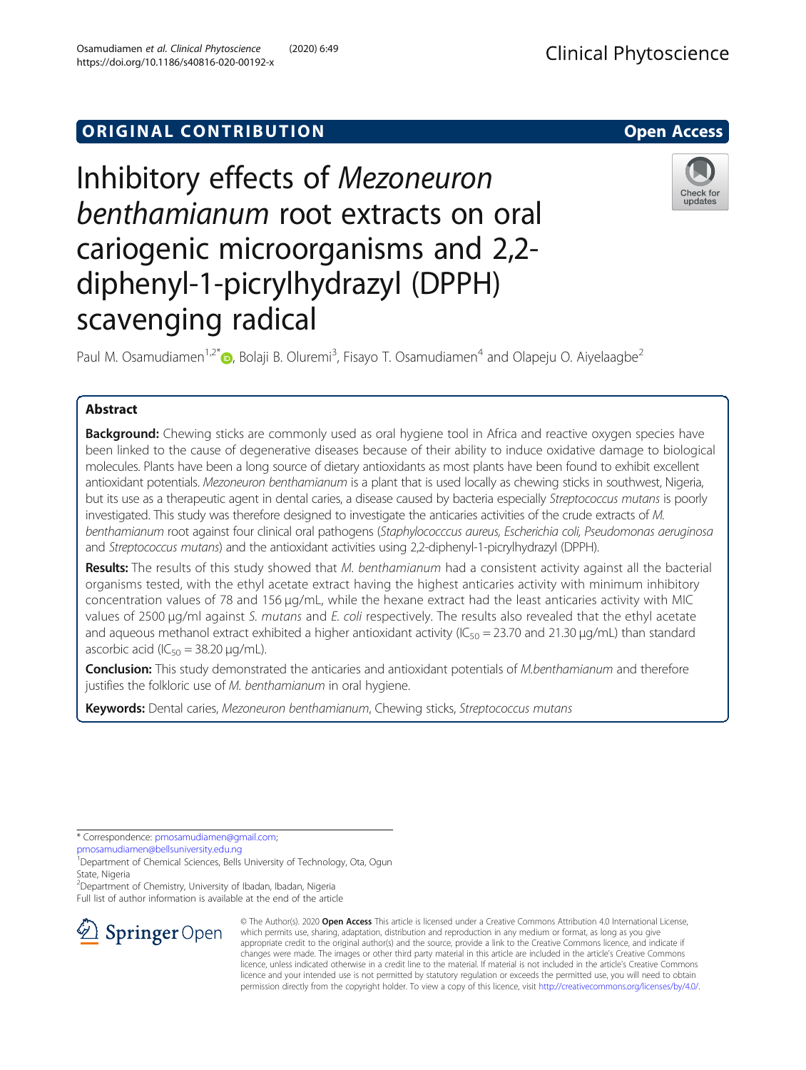# **ORIGINAL CONTRIBUTION CONTRIBUTION**

# Inhibitory effects of Mezoneuron benthamianum root extracts on oral cariogenic microorganisms and 2,2 diphenyl-1-picrylhydrazyl (DPPH) scavenging radical

Paul M. Osamudiamen<sup>1[,](http://orcid.org/0000-0001-8909-3490)2\*</sup> $\textcircled{\tiny D}$ , Bolaji B. Oluremi<sup>3</sup>, Fisayo T. Osamudiamen<sup>4</sup> and Olapeju O. Aiyelaagbe<sup>2</sup>

# Abstract

Background: Chewing sticks are commonly used as oral hygiene tool in Africa and reactive oxygen species have been linked to the cause of degenerative diseases because of their ability to induce oxidative damage to biological molecules. Plants have been a long source of dietary antioxidants as most plants have been found to exhibit excellent antioxidant potentials. Mezoneuron benthamianum is a plant that is used locally as chewing sticks in southwest, Nigeria, but its use as a therapeutic agent in dental caries, a disease caused by bacteria especially Streptococcus mutans is poorly investigated. This study was therefore designed to investigate the anticaries activities of the crude extracts of M. benthamianum root against four clinical oral pathogens (Staphylococccus aureus, Escherichia coli, Pseudomonas aeruginosa and Streptococcus mutans) and the antioxidant activities using 2,2-diphenyl-1-picrylhydrazyl (DPPH).

Results: The results of this study showed that M. benthamianum had a consistent activity against all the bacterial organisms tested, with the ethyl acetate extract having the highest anticaries activity with minimum inhibitory concentration values of 78 and 156 μg/mL, while the hexane extract had the least anticaries activity with MIC values of 2500 μg/ml against S. mutans and E. coli respectively. The results also revealed that the ethyl acetate and aqueous methanol extract exhibited a higher antioxidant activity ( $IC_{50} = 23.70$  and 21.30  $\mu g/mL$ ) than standard ascorbic acid ( $IC_{50} = 38.20 \mu g/mL$ ).

Conclusion: This study demonstrated the anticaries and antioxidant potentials of M.benthamianum and therefore justifies the folkloric use of M. benthamianum in oral hygiene.

Keywords: Dental caries, Mezoneuron benthamianum, Chewing sticks, Streptococcus mutans

\* Correspondence: [pmosamudiamen@gmail.com](mailto:pmosamudiamen@gmail.com);

[pmosamudiamen@bellsuniversity.edu.ng](mailto:pmosamudiamen@bellsuniversity.edu.ng)

 $\mathcal{L}$  Springer Open

<sup>1</sup>Department of Chemical Sciences, Bells University of Technology, Ota, Ogun State, Nigeria

2 Department of Chemistry, University of Ibadan, Ibadan, Nigeria

Full list of author information is available at the end of the article

© The Author(s). 2020 Open Access This article is licensed under a Creative Commons Attribution 4.0 International License, which permits use, sharing, adaptation, distribution and reproduction in any medium or format, as long as you give appropriate credit to the original author(s) and the source, provide a link to the Creative Commons licence, and indicate if changes were made. The images or other third party material in this article are included in the article's Creative Commons licence, unless indicated otherwise in a credit line to the material. If material is not included in the article's Creative Commons licence and your intended use is not permitted by statutory regulation or exceeds the permitted use, you will need to obtain permission directly from the copyright holder. To view a copy of this licence, visit <http://creativecommons.org/licenses/by/4.0/>.



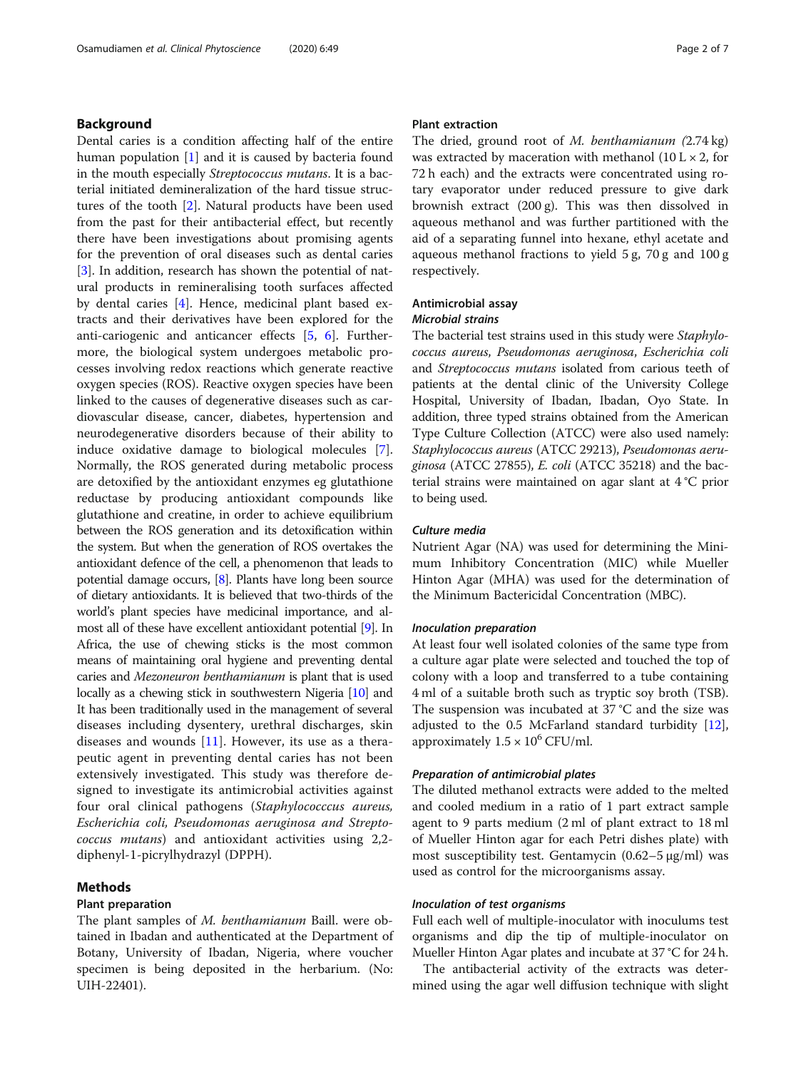# Background

Dental caries is a condition affecting half of the entire human population [\[1](#page-5-0)] and it is caused by bacteria found in the mouth especially Streptococcus mutans. It is a bacterial initiated demineralization of the hard tissue structures of the tooth [[2\]](#page-5-0). Natural products have been used from the past for their antibacterial effect, but recently there have been investigations about promising agents for the prevention of oral diseases such as dental caries [[3\]](#page-5-0). In addition, research has shown the potential of natural products in remineralising tooth surfaces affected by dental caries [\[4\]](#page-5-0). Hence, medicinal plant based extracts and their derivatives have been explored for the anti-cariogenic and anticancer effects [\[5](#page-5-0), [6](#page-5-0)]. Furthermore, the biological system undergoes metabolic processes involving redox reactions which generate reactive oxygen species (ROS). Reactive oxygen species have been linked to the causes of degenerative diseases such as cardiovascular disease, cancer, diabetes, hypertension and neurodegenerative disorders because of their ability to induce oxidative damage to biological molecules [\[7](#page-5-0)]. Normally, the ROS generated during metabolic process are detoxified by the antioxidant enzymes eg glutathione reductase by producing antioxidant compounds like glutathione and creatine, in order to achieve equilibrium between the ROS generation and its detoxification within the system. But when the generation of ROS overtakes the antioxidant defence of the cell, a phenomenon that leads to potential damage occurs, [[8](#page-5-0)]. Plants have long been source of dietary antioxidants. It is believed that two-thirds of the world's plant species have medicinal importance, and almost all of these have excellent antioxidant potential [[9](#page-5-0)]. In Africa, the use of chewing sticks is the most common means of maintaining oral hygiene and preventing dental caries and Mezoneuron benthamianum is plant that is used locally as a chewing stick in southwestern Nigeria [\[10\]](#page-5-0) and It has been traditionally used in the management of several diseases including dysentery, urethral discharges, skin diseases and wounds [[11\]](#page-5-0). However, its use as a therapeutic agent in preventing dental caries has not been extensively investigated. This study was therefore designed to investigate its antimicrobial activities against four oral clinical pathogens (Staphylococccus aureus, Escherichia coli, Pseudomonas aeruginosa and Streptococcus mutans) and antioxidant activities using 2,2 diphenyl-1-picrylhydrazyl (DPPH).

# Methods

#### Plant preparation

The plant samples of M. benthamianum Baill. were obtained in Ibadan and authenticated at the Department of Botany, University of Ibadan, Nigeria, where voucher specimen is being deposited in the herbarium. (No: UIH-22401).

# Plant extraction

The dried, ground root of M. benthamianum (2.74 kg) was extracted by maceration with methanol  $(10 L \times 2,$  for 72 h each) and the extracts were concentrated using rotary evaporator under reduced pressure to give dark brownish extract (200 g). This was then dissolved in aqueous methanol and was further partitioned with the aid of a separating funnel into hexane, ethyl acetate and aqueous methanol fractions to yield 5 g, 70 g and 100 g respectively.

## Antimicrobial assay

#### Microbial strains

The bacterial test strains used in this study were Staphylococcus aureus, Pseudomonas aeruginosa, Escherichia coli and Streptococcus mutans isolated from carious teeth of patients at the dental clinic of the University College Hospital, University of Ibadan, Ibadan, Oyo State. In addition, three typed strains obtained from the American Type Culture Collection (ATCC) were also used namely: Staphylococcus aureus (ATCC 29213), Pseudomonas aeruginosa (ATCC 27855), E. coli (ATCC 35218) and the bacterial strains were maintained on agar slant at 4 °C prior to being used.

### Culture media

Nutrient Agar (NA) was used for determining the Minimum Inhibitory Concentration (MIC) while Mueller Hinton Agar (MHA) was used for the determination of the Minimum Bactericidal Concentration (MBC).

#### Inoculation preparation

At least four well isolated colonies of the same type from a culture agar plate were selected and touched the top of colony with a loop and transferred to a tube containing 4 ml of a suitable broth such as tryptic soy broth (TSB). The suspension was incubated at 37 °C and the size was adjusted to the 0.5 McFarland standard turbidity [\[12](#page-5-0)], approximately  $1.5 \times 10^6$  CFU/ml.

## Preparation of antimicrobial plates

The diluted methanol extracts were added to the melted and cooled medium in a ratio of 1 part extract sample agent to 9 parts medium (2 ml of plant extract to 18 ml of Mueller Hinton agar for each Petri dishes plate) with most susceptibility test. Gentamycin  $(0.62-5 \mu g/ml)$  was used as control for the microorganisms assay.

# Inoculation of test organisms

Full each well of multiple-inoculator with inoculums test organisms and dip the tip of multiple-inoculator on Mueller Hinton Agar plates and incubate at 37 °C for 24 h.

The antibacterial activity of the extracts was determined using the agar well diffusion technique with slight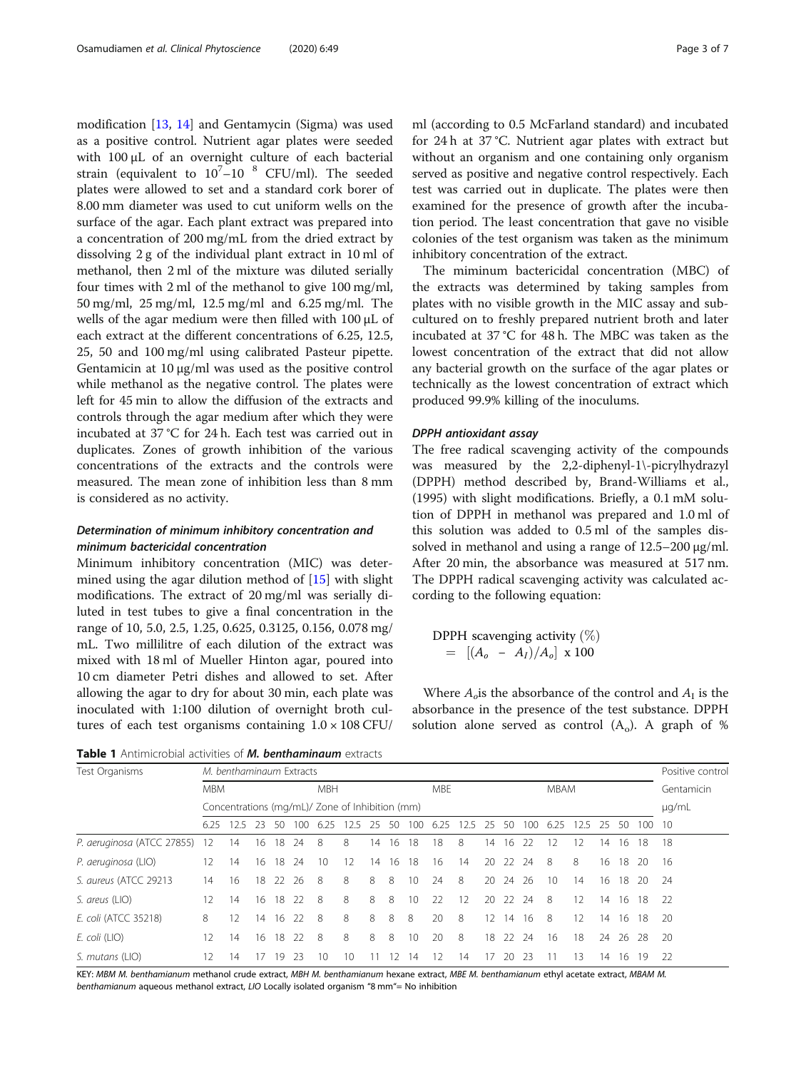<span id="page-2-0"></span>modification [[13,](#page-5-0) [14](#page-5-0)] and Gentamycin (Sigma) was used as a positive control. Nutrient agar plates were seeded with 100 μL of an overnight culture of each bacterial strain (equivalent to  $10^7 - 10^{-8}$  CFU/ml). The seeded plates were allowed to set and a standard cork borer of 8.00 mm diameter was used to cut uniform wells on the surface of the agar. Each plant extract was prepared into a concentration of 200 mg/mL from the dried extract by dissolving 2 g of the individual plant extract in 10 ml of methanol, then 2 ml of the mixture was diluted serially four times with 2 ml of the methanol to give 100 mg/ml, 50 mg/ml, 25 mg/ml, 12.5 mg/ml and 6.25 mg/ml. The wells of the agar medium were then filled with 100 μL of each extract at the different concentrations of 6.25, 12.5, 25, 50 and 100 mg/ml using calibrated Pasteur pipette. Gentamicin at 10 μg/ml was used as the positive control while methanol as the negative control. The plates were left for 45 min to allow the diffusion of the extracts and controls through the agar medium after which they were incubated at 37 °C for 24 h. Each test was carried out in duplicates. Zones of growth inhibition of the various concentrations of the extracts and the controls were measured. The mean zone of inhibition less than 8 mm is considered as no activity.

# Determination of minimum inhibitory concentration and minimum bactericidal concentration

Minimum inhibitory concentration (MIC) was determined using the agar dilution method of [\[15](#page-6-0)] with slight modifications. The extract of 20 mg/ml was serially diluted in test tubes to give a final concentration in the range of 10, 5.0, 2.5, 1.25, 0.625, 0.3125, 0.156, 0.078 mg/ mL. Two millilitre of each dilution of the extract was mixed with 18 ml of Mueller Hinton agar, poured into 10 cm diameter Petri dishes and allowed to set. After allowing the agar to dry for about 30 min, each plate was inoculated with 1:100 dilution of overnight broth cultures of each test organisms containing  $1.0 \times 108$  CFU/ ml (according to 0.5 McFarland standard) and incubated for 24 h at 37 °C. Nutrient agar plates with extract but without an organism and one containing only organism served as positive and negative control respectively. Each test was carried out in duplicate. The plates were then examined for the presence of growth after the incubation period. The least concentration that gave no visible colonies of the test organism was taken as the minimum inhibitory concentration of the extract.

The miminum bactericidal concentration (MBC) of the extracts was determined by taking samples from plates with no visible growth in the MIC assay and subcultured on to freshly prepared nutrient broth and later incubated at 37 °C for 48 h. The MBC was taken as the lowest concentration of the extract that did not allow any bacterial growth on the surface of the agar plates or technically as the lowest concentration of extract which produced 99.9% killing of the inoculums.

#### DPPH antioxidant assay

The free radical scavenging activity of the compounds was measured by the 2,2-diphenyl-1\-picrylhydrazyl (DPPH) method described by, Brand-Williams et al., (1995) with slight modifications. Briefly, a 0.1 mM solution of DPPH in methanol was prepared and 1.0 ml of this solution was added to 0.5 ml of the samples dissolved in methanol and using a range of 12.5–200 μg/ml. After 20 min, the absorbance was measured at 517 nm. The DPPH radical scavenging activity was calculated according to the following equation:

DPPH scavenging activity  $(\%)$  $=$   $[(A_o - A_I)/A_o] \times 100$ 

Where  $A_o$  is the absorbance of the control and  $A_I$  is the absorbance in the presence of the test substance. DPPH solution alone served as control  $(A_0)$ . A graph of %

Table 1 Antimicrobial activities of M. benthaminaum extracts

| Test Organisms             |                                                 | M. benthaminaum Extracts |    |    |            |      |    |    |            |     |      |      |             |    |       |            |     |    |       |      | Positive control |
|----------------------------|-------------------------------------------------|--------------------------|----|----|------------|------|----|----|------------|-----|------|------|-------------|----|-------|------------|-----|----|-------|------|------------------|
|                            | <b>MBM</b>                                      |                          |    |    | <b>MBH</b> |      |    |    | <b>MBE</b> |     |      |      | <b>MBAM</b> |    |       | Gentamicin |     |    |       |      |                  |
|                            | Concentrations (mg/mL)/ Zone of Inhibition (mm) |                          |    |    |            |      |    |    |            |     |      |      |             |    | µg/mL |            |     |    |       |      |                  |
|                            | 6.25                                            | 12.5                     | 23 | 50 | 100        | 6.25 | 25 |    | 50         | 100 | 6.25 | 12.5 | 25          | 50 | 100   | 6.25       | 2.5 | 25 | 50    | 100  | 10               |
| P. aeruginosa (ATCC 27855) | 12                                              | 14                       | 16 |    | 18 24      | - 8  | 8  | 14 | 16         | 18  | 18   | 8    | 14          | 16 | 22    | 12         | 12  | 14 | 16    | -18  | 18               |
| P. aeruginosa (LIO)        | 12                                              | 14                       | 16 | 18 | 24         | 10   | 12 | 14 | 16         | 18  | 16   | 14   | 20          | 22 | 24    | 8          | 8   | 16 | 18    | - 20 | 16               |
| S. aureus (ATCC 29213      | 14                                              | 16                       | 18 | 22 | -26        | - 8  | 8  | 8  | 8          | 10  | 24   | 8    | 20          | 24 | -26   | 10         | 14  | 16 | 18 20 |      | - 24             |
| S. areus (LIO)             | 12                                              | 14                       | 16 | 18 | $22$       | 8    | 8  | 8  | 8          | 10  | 22   | 12   | 20          | 22 | 24    | 8          | 12  | 14 | 16    | -18  | 22               |
| E. coli (ATCC 35218)       | 8                                               | 12                       | 14 | 16 | 22         | 8    | 8  | 8  | 8          | 8   | 20   | 8    | 12          | 14 | 16    | 8          | 12  | 14 | 16    | - 18 | -20              |
| E. coli (LIO)              | 12                                              | 14                       | 16 | 18 | $22$       | 8    | 8  | 8  | 8          | 10  | 20   | 8    | 18          | 22 | 24    | 16         | 18  | 24 | 26    | -28  | -20              |
| S. mutans (LIO)            | 12                                              | 14                       |    | 9  | 23         | 10   | 10 |    |            | 14  | 2    | 14   | 17          | 20 | -23   | 11         | 13  | 14 | 16    | 19   | 22               |

KEY: MBM M. benthamianum methanol crude extract, MBH M. benthamianum hexane extract, MBE M. benthamianum ethyl acetate extract, MBAM M. benthamianum aqueous methanol extract, LIO Locally isolated organism "8 mm"= No inhibition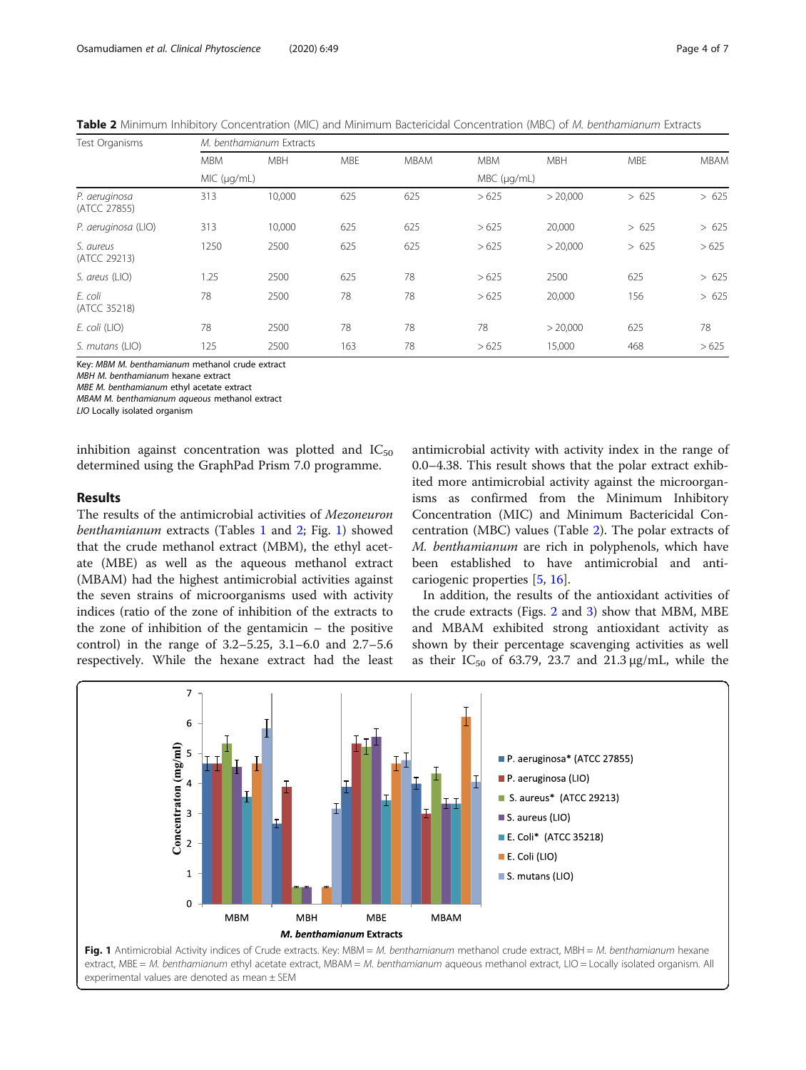| Test Organisms                |             | M. benthamianum Extracts |            |     |            |                     |            |             |  |  |  |  |  |  |  |
|-------------------------------|-------------|--------------------------|------------|-----|------------|---------------------|------------|-------------|--|--|--|--|--|--|--|
|                               | <b>MBM</b>  | <b>MBH</b>               | <b>MBE</b> |     | <b>MBM</b> | <b>MBH</b>          | <b>MBE</b> | <b>MBAM</b> |  |  |  |  |  |  |  |
|                               | MIC (µq/mL) |                          |            |     |            | $MBC$ ( $\mu$ g/mL) |            |             |  |  |  |  |  |  |  |
| P. aeruginosa<br>(ATCC 27855) | 313         | 10,000                   | 625        | 625 | >625       | > 20,000            | >625       | > 625       |  |  |  |  |  |  |  |
| P. aeruginosa (LIO)           | 313         | 10,000                   | 625        | 625 | >625       | 20,000              | >625       | > 625       |  |  |  |  |  |  |  |
| S. aureus<br>(ATCC 29213)     | 1250        | 2500                     | 625        | 625 | >625       | > 20,000            | >625       | >625        |  |  |  |  |  |  |  |
| S. areus (LIO)                | 1.25        | 2500                     | 625        | 78  | >625       | 2500                | 625        | > 625       |  |  |  |  |  |  |  |
| E. coli<br>(ATCC 35218)       | 78          | 2500                     | 78         | 78  | >625       | 20,000              | 156        | > 625       |  |  |  |  |  |  |  |
| E. coli (LIO)                 | 78          | 2500                     | 78         | 78  | 78         | > 20.000            | 625        | 78          |  |  |  |  |  |  |  |
| S. mutans (LIO)               | 125         | 2500                     | 163        | 78  | >625       | 15,000              | 468        | >625        |  |  |  |  |  |  |  |

Key: MBM M. benthamianum methanol crude extract

MBH M. benthamianum hexane extract

MBE M. benthamianum ethyl acetate extract

MBAM M. benthamianum aqueous methanol extract

LIO Locally isolated organism

inhibition against concentration was plotted and  $IC_{50}$ determined using the GraphPad Prism 7.0 programme.

# Results

The results of the antimicrobial activities of Mezoneuron benthamianum extracts (Tables [1](#page-2-0) and 2; Fig. 1) showed that the crude methanol extract (MBM), the ethyl acetate (MBE) as well as the aqueous methanol extract (MBAM) had the highest antimicrobial activities against the seven strains of microorganisms used with activity indices (ratio of the zone of inhibition of the extracts to the zone of inhibition of the gentamicin – the positive control) in the range of 3.2–5.25, 3.1–6.0 and 2.7–5.6 respectively. While the hexane extract had the least

antimicrobial activity with activity index in the range of 0.0–4.38. This result shows that the polar extract exhibited more antimicrobial activity against the microorganisms as confirmed from the Minimum Inhibitory Concentration (MIC) and Minimum Bactericidal Concentration (MBC) values (Table 2). The polar extracts of M. benthamianum are rich in polyphenols, which have been established to have antimicrobial and anticariogenic properties [[5](#page-5-0), [16](#page-6-0)].

In addition, the results of the antioxidant activities of the crude extracts (Figs. [2](#page-4-0) and [3](#page-4-0)) show that MBM, MBE and MBAM exhibited strong antioxidant activity as shown by their percentage scavenging activities as well as their  $IC_{50}$  of 63.79, 23.7 and 21.3  $\mu$ g/mL, while the

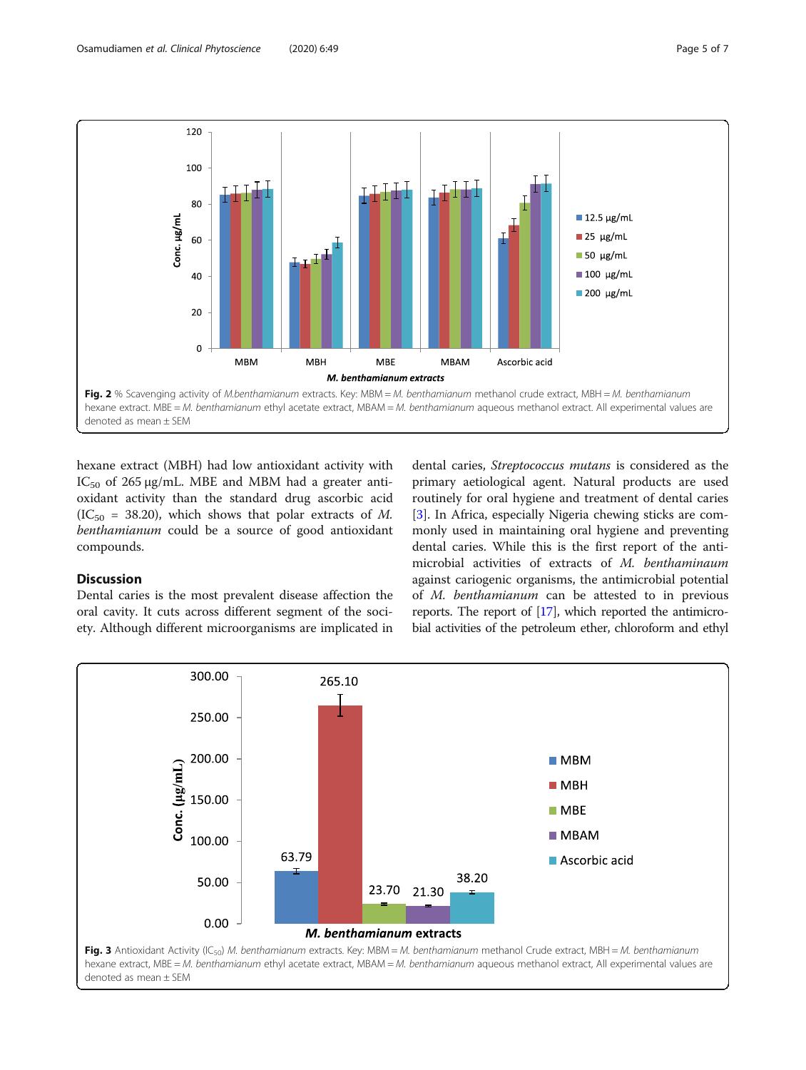<span id="page-4-0"></span>

hexane extract (MBH) had low antioxidant activity with IC<sub>50</sub> of 265 μg/mL. MBE and MBM had a greater antioxidant activity than the standard drug ascorbic acid  $(IC_{50} = 38.20)$ , which shows that polar extracts of M. benthamianum could be a source of good antioxidant compounds.

# Discussion

Dental caries is the most prevalent disease affection the oral cavity. It cuts across different segment of the society. Although different microorganisms are implicated in

dental caries, Streptococcus mutans is considered as the primary aetiological agent. Natural products are used routinely for oral hygiene and treatment of dental caries [[3\]](#page-5-0). In Africa, especially Nigeria chewing sticks are commonly used in maintaining oral hygiene and preventing dental caries. While this is the first report of the antimicrobial activities of extracts of M. benthaminaum against cariogenic organisms, the antimicrobial potential of M. benthamianum can be attested to in previous reports. The report of [\[17\]](#page-6-0), which reported the antimicrobial activities of the petroleum ether, chloroform and ethyl

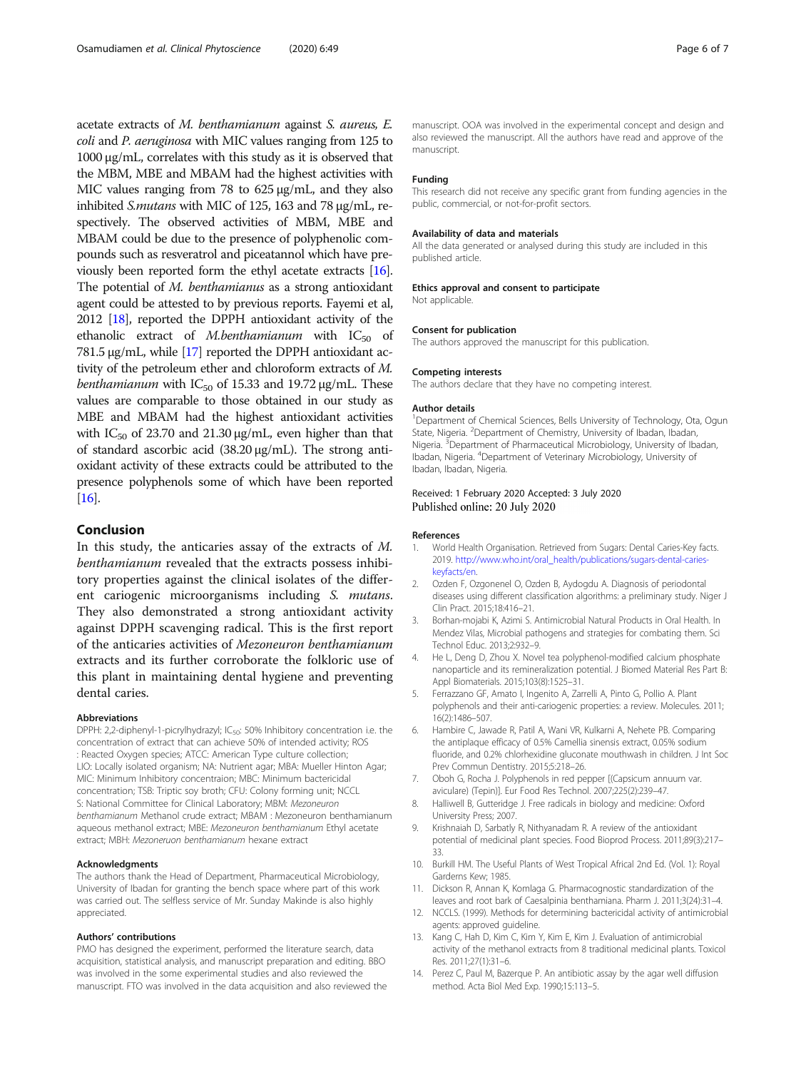<span id="page-5-0"></span>acetate extracts of M. benthamianum against S. aureus, E. coli and P. aeruginosa with MIC values ranging from 125 to 1000 μg/mL, correlates with this study as it is observed that the MBM, MBE and MBAM had the highest activities with MIC values ranging from 78 to 625 μg/mL, and they also inhibited S.mutans with MIC of 125, 163 and 78 μg/mL, respectively. The observed activities of MBM, MBE and MBAM could be due to the presence of polyphenolic compounds such as resveratrol and piceatannol which have previously been reported form the ethyl acetate extracts [\[16](#page-6-0)]. The potential of M. benthamianus as a strong antioxidant agent could be attested to by previous reports. Fayemi et al, 2012 [\[18](#page-6-0)], reported the DPPH antioxidant activity of the ethanolic extract of *M.benthamianum* with  $IC_{50}$  of 781.5 μg/mL, while [\[17\]](#page-6-0) reported the DPPH antioxidant activity of the petroleum ether and chloroform extracts of M. benthamianum with  $IC_{50}$  of 15.33 and 19.72  $\mu$ g/mL. These values are comparable to those obtained in our study as MBE and MBAM had the highest antioxidant activities with  $IC_{50}$  of 23.70 and 21.30  $\mu$ g/mL, even higher than that of standard ascorbic acid (38.20 μg/mL). The strong antioxidant activity of these extracts could be attributed to the presence polyphenols some of which have been reported [[16](#page-6-0)].

# Conclusion

In this study, the anticaries assay of the extracts of M. benthamianum revealed that the extracts possess inhibitory properties against the clinical isolates of the different cariogenic microorganisms including S. mutans. They also demonstrated a strong antioxidant activity against DPPH scavenging radical. This is the first report of the anticaries activities of Mezoneuron benthamianum extracts and its further corroborate the folkloric use of this plant in maintaining dental hygiene and preventing dental caries.

#### Abbreviations

DPPH: 2,2-diphenyl-1-picrylhydrazyl; IC<sub>50</sub>: 50% Inhibitory concentration i.e. the concentration of extract that can achieve 50% of intended activity; ROS : Reacted Oxygen species; ATCC: American Type culture collection; LIO: Locally isolated organism; NA: Nutrient agar; MBA: Mueller Hinton Agar; MIC: Minimum Inhibitory concentraion; MBC: Minimum bactericidal concentration; TSB: Triptic soy broth; CFU: Colony forming unit; NCCL S: National Committee for Clinical Laboratory; MBM: Mezoneuron benthamianum Methanol crude extract; MBAM : Mezoneuron benthamianum aqueous methanol extract; MBE: Mezoneuron benthamianum Ethyl acetate extract; MBH: Mezoneruon benthamianum hexane extract

#### Acknowledgments

The authors thank the Head of Department, Pharmaceutical Microbiology, University of Ibadan for granting the bench space where part of this work was carried out. The selfless service of Mr. Sunday Makinde is also highly appreciated.

#### Authors' contributions

PMO has designed the experiment, performed the literature search, data acquisition, statistical analysis, and manuscript preparation and editing. BBO was involved in the some experimental studies and also reviewed the manuscript. FTO was involved in the data acquisition and also reviewed the manuscript. OOA was involved in the experimental concept and design and also reviewed the manuscript. All the authors have read and approve of the manuscript.

#### Funding

This research did not receive any specific grant from funding agencies in the public, commercial, or not-for-profit sectors.

#### Availability of data and materials

All the data generated or analysed during this study are included in this published article.

#### Ethics approval and consent to participate

Not applicable.

#### Consent for publication

The authors approved the manuscript for this publication.

#### Competing interests

The authors declare that they have no competing interest.

#### Author details

<sup>1</sup>Department of Chemical Sciences, Bells University of Technology, Ota, Ogun State, Nigeria. <sup>2</sup>Department of Chemistry, University of Ibadan, Ibadan, Nigeria.<sup>3</sup> Department of Pharmaceutical Microbiology, University of Ibadan, Ibadan, Nigeria. <sup>4</sup> Department of Veterinary Microbiology, University of Ibadan, Ibadan, Nigeria.

### Received: 1 February 2020 Accepted: 3 July 2020 Published online: 20 July 2020

#### References

- 1. World Health Organisation. Retrieved from Sugars: Dental Caries-Key facts. 2019. [http://www.who.int/oral\\_health/publications/sugars-dental-caries](http://www.who.int/oral_health/publications/sugars-dental-caries-keyfacts/en)[keyfacts/en.](http://www.who.int/oral_health/publications/sugars-dental-caries-keyfacts/en)
- 2. Ozden F, Ozgonenel O, Ozden B, Aydogdu A. Diagnosis of periodontal diseases using different classification algorithms: a preliminary study. Niger J Clin Pract. 2015;18:416–21.
- 3. Borhan-mojabi K, Azimi S. Antimicrobial Natural Products in Oral Health. In Mendez Vilas, Microbial pathogens and strategies for combating them. Sci Technol Educ. 2013;2:932–9.
- 4. He L, Deng D, Zhou X. Novel tea polyphenol-modified calcium phosphate nanoparticle and its remineralization potential. J Biomed Material Res Part B: Appl Biomaterials. 2015;103(8):1525–31.
- 5. Ferrazzano GF, Amato I, Ingenito A, Zarrelli A, Pinto G, Pollio A. Plant polyphenols and their anti-cariogenic properties: a review. Molecules. 2011; 16(2):1486–507.
- 6. Hambire C, Jawade R, Patil A, Wani VR, Kulkarni A, Nehete PB. Comparing the antiplaque efficacy of 0.5% Camellia sinensis extract, 0.05% sodium fluoride, and 0.2% chlorhexidine gluconate mouthwash in children. J Int Soc Prev Commun Dentistry. 2015;5:218–26.
- 7. Oboh G, Rocha J. Polyphenols in red pepper [(Capsicum annuum var. aviculare) (Tepin)]. Eur Food Res Technol. 2007;225(2):239–47.
- 8. Halliwell B, Gutteridge J. Free radicals in biology and medicine: Oxford University Press; 2007.
- 9. Krishnaiah D, Sarbatly R, Nithyanadam R. A review of the antioxidant potential of medicinal plant species. Food Bioprod Process. 2011;89(3):217– 33.
- 10. Burkill HM. The Useful Plants of West Tropical Africal 2nd Ed. (Vol. 1): Royal Garderns Kew; 1985.
- 11. Dickson R, Annan K, Komlaga G. Pharmacognostic standardization of the leaves and root bark of Caesalpinia benthamiana. Pharm J. 2011;3(24):31–4.
- 12. NCCLS. (1999). Methods for determining bactericidal activity of antimicrobial agents: approved guideline.
- 13. Kang C, Hah D, Kim C, Kim Y, Kim E, Kim J. Evaluation of antimicrobial activity of the methanol extracts from 8 traditional medicinal plants. Toxicol Res. 2011;27(1):31–6.
- 14. Perez C, Paul M, Bazerque P. An antibiotic assay by the agar well diffusion method. Acta Biol Med Exp. 1990;15:113–5.